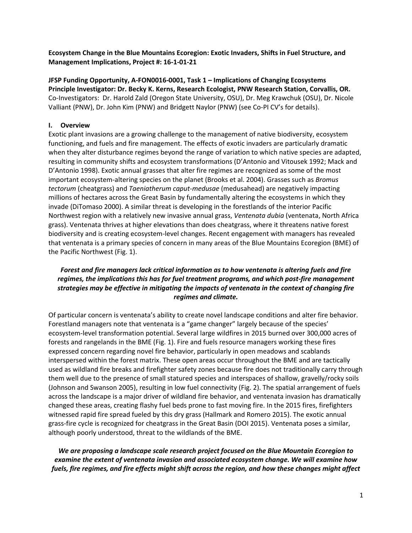**Ecosystem Change in the Blue Mountains Ecoregion: Exotic Invaders, Shifts in Fuel Structure, and Management Implications, Project #: 16-1-01-21**

**JFSP Funding Opportunity, A-FON0016-0001, Task 1 – Implications of Changing Ecosystems Principle Investigator: Dr. Becky K. Kerns, Research Ecologist, PNW Research Station, Corvallis, OR.** Co-Investigators: Dr. Harold Zald (Oregon State University, OSU), Dr. Meg Krawchuk (OSU), Dr. Nicole Valliant (PNW), Dr. John Kim (PNW) and Bridgett Naylor (PNW) (see Co-PI CV's for details).

# **I. Overview**

Exotic plant invasions are a growing challenge to the management of native biodiversity, ecosystem functioning, and fuels and fire management. The effects of exotic invaders are particularly dramatic when they alter disturbance regimes beyond the range of variation to which native species are adapted, resulting in community shifts and ecosystem transformations (D'Antonio and Vitousek 1992; Mack and D'Antonio 1998). Exotic annual grasses that alter fire regimes are recognized as some of the most important ecosystem-altering species on the planet (Brooks et al. 2004). Grasses such as *Bromus tectorum* (cheatgrass) and *Taeniatherum caput*-*medusae* (medusahead) are negatively impacting millions of hectares across the Great Basin by fundamentally altering the ecosystems in which they invade (DiTomaso 2000). A similar threat is developing in the forestlands of the interior Pacific Northwest region with a relatively new invasive annual grass, *Ventenata dubia* (ventenata, North Africa grass). Ventenata thrives at higher elevations than does cheatgrass, where it threatens native forest biodiversity and is creating ecosystem-level changes. Recent engagement with managers has revealed that ventenata is a primary species of concern in many areas of the Blue Mountains Ecoregion (BME) of the Pacific Northwest (Fig. 1).

# *Forest and fire managers lack critical information as to how ventenata is altering fuels and fire regimes, the implications this has for fuel treatment programs, and which post-fire management strategies may be effective in mitigating the impacts of ventenata in the context of changing fire regimes and climate.*

Of particular concern is ventenata's ability to create novel landscape conditions and alter fire behavior. Forestland managers note that ventenata is a "game changer" largely because of the species' ecosystem-level transformation potential. Several large wildfires in 2015 burned over 300,000 acres of forests and rangelands in the BME (Fig. 1). Fire and fuels resource managers working these fires expressed concern regarding novel fire behavior, particularly in open meadows and scablands interspersed within the forest matrix. These open areas occur throughout the BME and are tactically used as wildland fire breaks and firefighter safety zones because fire does not traditionally carry through them well due to the presence of small statured species and interspaces of shallow, gravelly/rocky soils (Johnson and Swanson 2005), resulting in low fuel connectivity (Fig. 2). The spatial arrangement of fuels across the landscape is a major driver of wildland fire behavior, and ventenata invasion has dramatically changed these areas, creating flashy fuel beds prone to fast moving fire. In the 2015 fires, firefighters witnessed rapid fire spread fueled by this dry grass (Hallmark and Romero 2015). The exotic annual grass-fire cycle is recognized for cheatgrass in the Great Basin (DOI 2015). Ventenata poses a similar, although poorly understood, threat to the wildlands of the BME.

*We are proposing a landscape scale research project focused on the Blue Mountain Ecoregion to examine the extent of ventenata invasion and associated ecosystem change. We will examine how fuels, fire regimes, and fire effects might shift across the region, and how these changes might affect*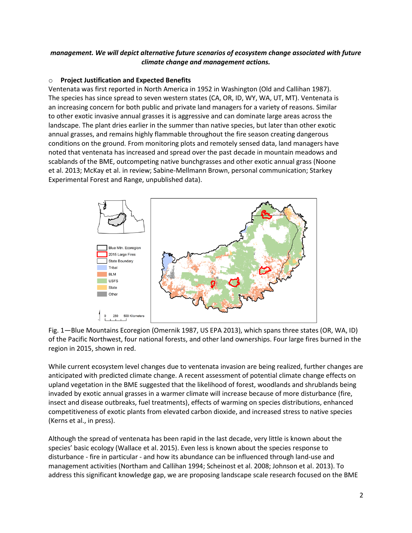# *management. We will depict alternative future scenarios of ecosystem change associated with future climate change and management actions.*

### o **Project Justification and Expected Benefits**

Ventenata was first reported in North America in 1952 in Washington (Old and Callihan 1987). The species has since spread to seven western states (CA, OR, ID, WY, WA, UT, MT). Ventenata is an increasing concern for both public and private land managers for a variety of reasons. Similar to other exotic invasive annual grasses it is aggressive and can dominate large areas across the landscape. The plant dries earlier in the summer than native species, but later than other exotic annual grasses, and remains highly flammable throughout the fire season creating dangerous conditions on the ground. From monitoring plots and remotely sensed data, land managers have noted that ventenata has increased and spread over the past decade in mountain meadows and scablands of the BME, outcompeting native bunchgrasses and other exotic annual grass (Noone et al. 2013; McKay et al. in review; Sabine-Mellmann Brown, personal communication; Starkey Experimental Forest and Range, unpublished data).





While current ecosystem level changes due to ventenata invasion are being realized, further changes are anticipated with predicted climate change. A recent assessment of potential climate change effects on upland vegetation in the BME suggested that the likelihood of forest, woodlands and shrublands being invaded by exotic annual grasses in a warmer climate will increase because of more disturbance (fire, insect and disease outbreaks, fuel treatments), effects of warming on species distributions, enhanced competitiveness of exotic plants from elevated carbon dioxide, and increased stress to native species (Kerns et al., in press).

Although the spread of ventenata has been rapid in the last decade, very little is known about the species' basic ecology (Wallace et al. 2015). Even less is known about the species response to disturbance - fire in particular - and how its abundance can be influenced through land-use and management activities (Northam and Callihan 1994; Scheinost et al. 2008; Johnson et al. 2013). To address this significant knowledge gap, we are proposing landscape scale research focused on the BME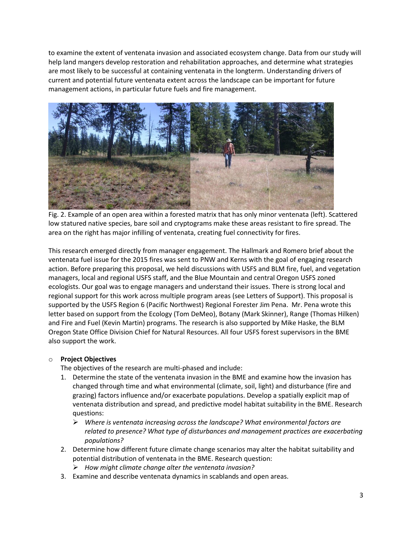to examine the extent of ventenata invasion and associated ecosystem change. Data from our study will help land mangers develop restoration and rehabilitation approaches, and determine what strategies are most likely to be successful at containing ventenata in the longterm. Understanding drivers of current and potential future ventenata extent across the landscape can be important for future management actions, in particular future fuels and fire management.



Fig. 2. Example of an open area within a forested matrix that has only minor ventenata (left). Scattered low statured native species, bare soil and cryptograms make these areas resistant to fire spread. The area on the right has major infilling of ventenata, creating fuel connectivity for fires.

This research emerged directly from manager engagement. The Hallmark and Romero brief about the ventenata fuel issue for the 2015 fires was sent to PNW and Kerns with the goal of engaging research action. Before preparing this proposal, we held discussions with USFS and BLM fire, fuel, and vegetation managers, local and regional USFS staff, and the Blue Mountain and central Oregon USFS zoned ecologists. Our goal was to engage managers and understand their issues. There is strong local and regional support for this work across multiple program areas (see Letters of Support). This proposal is supported by the USFS Region 6 (Pacific Northwest) Regional Forester Jim Pena. Mr. Pena wrote this letter based on support from the Ecology (Tom DeMeo), Botany (Mark Skinner), Range (Thomas Hilken) and Fire and Fuel (Kevin Martin) programs. The research is also supported by Mike Haske, the BLM Oregon State Office Division Chief for Natural Resources. All four USFS forest supervisors in the BME also support the work.

#### o **Project Objectives**

The objectives of the research are multi-phased and include:

- 1. Determine the state of the ventenata invasion in the BME and examine how the invasion has changed through time and what environmental (climate, soil, light) and disturbance (fire and grazing) factors influence and/or exacerbate populations. Develop a spatially explicit map of ventenata distribution and spread, and predictive model habitat suitability in the BME. Research questions:
	- *Where is ventenata increasing across the landscape? What environmental factors are related to presence? What type of disturbances and management practices are exacerbating populations?*
- 2. Determine how different future climate change scenarios may alter the habitat suitability and potential distribution of ventenata in the BME. Research question:
	- *How might climate change alter the ventenata invasion?*
- 3. Examine and describe ventenata dynamics in scablands and open areas.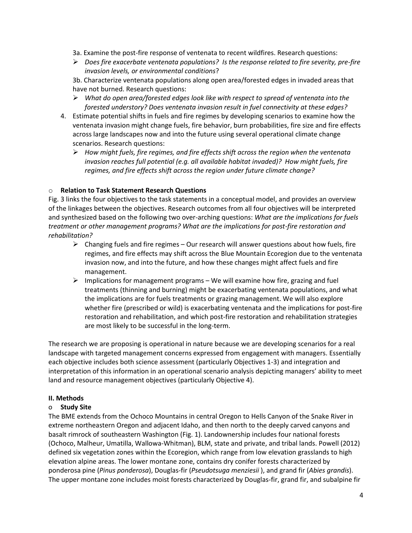- 3a. Examine the post-fire response of ventenata to recent wildfires. Research questions:
- *Does fire exacerbate ventenata populations? Is the response related to fire severity, pre-fire invasion levels, or environmental conditions*?

3b. Characterize ventenata populations along open area/forested edges in invaded areas that have not burned. Research questions:

- *What do open area/forested edges look like with respect to spread of ventenata into the forested understory? Does ventenata invasion result in fuel connectivity at these edges?*
- 4. Estimate potential shifts in fuels and fire regimes by developing scenarios to examine how the ventenata invasion might change fuels, fire behavior, burn probabilities, fire size and fire effects across large landscapes now and into the future using several operational climate change scenarios. Research questions:
	- *How might fuels, fire regimes, and fire effects shift across the region when the ventenata invasion reaches full potential (e.g. all available habitat invaded)? How might fuels, fire regimes, and fire effects shift across the region under future climate change?*

# o **Relation to Task Statement Research Questions**

Fig. 3 links the four objectives to the task statements in a conceptual model, and provides an overview of the linkages between the objectives. Research outcomes from all four objectives will be interpreted and synthesized based on the following two over-arching questions: *What are the implications for fuels treatment or other management programs? What are the implications for post-fire restoration and rehabilitation?*

- $\triangleright$  Changing fuels and fire regimes Our research will answer questions about how fuels, fire regimes, and fire effects may shift across the Blue Mountain Ecoregion due to the ventenata invasion now, and into the future, and how these changes might affect fuels and fire management.
- $\triangleright$  Implications for management programs We will examine how fire, grazing and fuel treatments (thinning and burning) might be exacerbating ventenata populations, and what the implications are for fuels treatments or grazing management. We will also explore whether fire (prescribed or wild) is exacerbating ventenata and the implications for post-fire restoration and rehabilitation, and which post-fire restoration and rehabilitation strategies are most likely to be successful in the long-term.

The research we are proposing is operational in nature because we are developing scenarios for a real landscape with targeted management concerns expressed from engagement with managers. Essentially each objective includes both science assessment (particularly Objectives 1-3) and integration and interpretation of this information in an operational scenario analysis depicting managers' ability to meet land and resource management objectives (particularly Objective 4).

#### **II. Methods**

#### o **Study Site**

The BME extends from the Ochoco Mountains in central Oregon to Hells Canyon of the Snake River in extreme northeastern Oregon and adjacent Idaho, and then north to the deeply carved canyons and basalt rimrock of southeastern Washington (Fig. 1). Landownership includes four national forests (Ochoco, Malheur, Umatilla, Wallowa-Whitman), BLM, state and private, and tribal lands. Powell (2012) defined six vegetation zones within the Ecoregion, which range from low elevation grasslands to high elevation alpine areas. The lower montane zone, contains dry conifer forests characterized by ponderosa pine (*Pinus ponderosa*), Douglas-fir (*Pseudotsuga menziesii* ), and grand fir (*Abies grandis*). The upper montane zone includes moist forests characterized by Douglas-fir, grand fir, and subalpine fir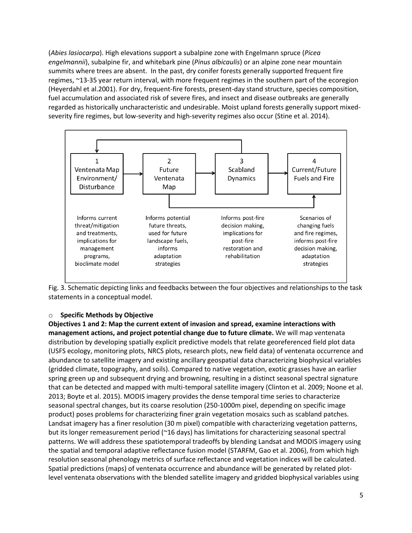(*Abies lasiocarpa*). High elevations support a subalpine zone with Engelmann spruce (*Picea engelmannii*), subalpine fir, and whitebark pine (*Pinus albicaulis*) or an alpine zone near mountain summits where trees are absent. In the past, dry conifer forests generally supported frequent fire regimes, ~13-35 year return interval, with more frequent regimes in the southern part of the ecoregion (Heyerdahl et al.2001). For dry, frequent-fire forests, present-day stand structure, species composition, fuel accumulation and associated risk of severe fires, and insect and disease outbreaks are generally regarded as historically uncharacteristic and undesirable. Moist upland forests generally support mixedseverity fire regimes, but low-severity and high-severity regimes also occur (Stine et al. 2014).



Fig. 3. Schematic depicting links and feedbacks between the four objectives and relationships to the task statements in a conceptual model.

#### o **Specific Methods by Objective**

**Objectives 1 and 2: Map the current extent of invasion and spread, examine interactions with management actions, and project potential change due to future climate.** We will map ventenata distribution by developing spatially explicit predictive models that relate georeferenced field plot data (USFS ecology, monitoring plots, NRCS plots, research plots, new field data) of ventenata occurrence and abundance to satellite imagery and existing ancillary geospatial data characterizing biophysical variables (gridded climate, topography, and soils). Compared to native vegetation, exotic grasses have an earlier spring green up and subsequent drying and browning, resulting in a distinct seasonal spectral signature that can be detected and mapped with multi-temporal satellite imagery (Clinton et al. 2009; Noone et al. 2013; Boyte et al. 2015). MODIS imagery provides the dense temporal time series to characterize seasonal spectral changes, but its coarse resolution (250-1000m pixel, depending on specific image product) poses problems for characterizing finer grain vegetation mosaics such as scabland patches. Landsat imagery has a finer resolution (30 m pixel) compatible with characterizing vegetation patterns, but its longer remeasurement period (~16 days) has limitations for characterizing seasonal spectral patterns. We will address these spatiotemporal tradeoffs by blending Landsat and MODIS imagery using the spatial and temporal adaptive reflectance fusion model (STARFM, Gao et al. 2006), from which high resolution seasonal phenology metrics of surface reflectance and vegetation indices will be calculated. Spatial predictions (maps) of ventenata occurrence and abundance will be generated by related plotlevel ventenata observations with the blended satellite imagery and gridded biophysical variables using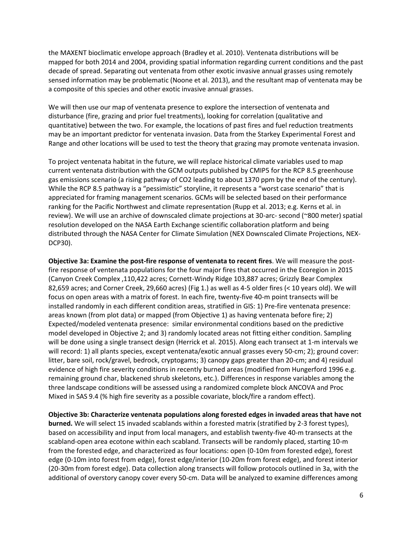the MAXENT bioclimatic envelope approach (Bradley et al. 2010). Ventenata distributions will be mapped for both 2014 and 2004, providing spatial information regarding current conditions and the past decade of spread. Separating out ventenata from other exotic invasive annual grasses using remotely sensed information may be problematic (Noone et al. 2013), and the resultant map of ventenata may be a composite of this species and other exotic invasive annual grasses.

We will then use our map of ventenata presence to explore the intersection of ventenata and disturbance (fire, grazing and prior fuel treatments), looking for correlation (qualitative and quantitative) between the two. For example, the locations of past fires and fuel reduction treatments may be an important predictor for ventenata invasion. Data from the Starkey Experimental Forest and Range and other locations will be used to test the theory that grazing may promote ventenata invasion.

To project ventenata habitat in the future, we will replace historical climate variables used to map current ventenata distribution with the GCM outputs published by CMIP5 for the RCP 8.5 greenhouse gas emissions scenario (a rising pathway of CO2 leading to about 1370 ppm by the end of the century). While the RCP 8.5 pathway is a "pessimistic" storyline, it represents a "worst case scenario" that is appreciated for framing management scenarios. GCMs will be selected based on their performance ranking for the Pacific Northwest and climate representation (Rupp et al. 2013; e.g. Kerns et al. in review). We will use an archive of downscaled climate projections at 30-arc- second (~800 meter) spatial resolution developed on the NASA Earth Exchange scientific collaboration platform and being distributed through the NASA Center for Climate Simulation (NEX Downscaled Climate Projections, NEX-DCP30).

**Objective 3a: Examine the post-fire response of ventenata to recent fires**. We will measure the postfire response of ventenata populations for the four major fires that occurred in the Ecoregion in 2015 (Canyon Creek Complex ,110,422 acres; Cornett-Windy Ridge 103,887 acres; Grizzly Bear Complex 82,659 acres; and Corner Creek, 29,660 acres) (Fig 1.) as well as 4-5 older fires (< 10 years old). We will focus on open areas with a matrix of forest. In each fire, twenty-five 40-m point transects will be installed randomly in each different condition areas, stratified in GIS: 1) Pre-fire ventenata presence: areas known (from plot data) or mapped (from Objective 1) as having ventenata before fire; 2) Expected/modeled ventenata presence: similar environmental conditions based on the predictive model developed in Objective 2; and 3) randomly located areas not fitting either condition. Sampling will be done using a single transect design (Herrick et al. 2015). Along each transect at 1-m intervals we will record: 1) all plants species, except ventenata/exotic annual grasses every 50-cm; 2); ground cover: litter, bare soil, rock/gravel, bedrock, cryptogams; 3) canopy gaps greater than 20-cm; and 4) residual evidence of high fire severity conditions in recently burned areas (modified from Hungerford 1996 e.g. remaining ground char, blackened shrub skeletons, etc.). Differences in response variables among the three landscape conditions will be assessed using a randomized complete block ANCOVA and Proc Mixed in SAS 9.4 (% high fire severity as a possible covariate, block/fire a random effect).

**Objective 3b: Characterize ventenata populations along forested edges in invaded areas that have not burned.** We will select 15 invaded scablands within a forested matrix (stratified by 2-3 forest types), based on accessibility and input from local managers, and establish twenty-five 40-m transects at the scabland-open area ecotone within each scabland. Transects will be randomly placed, starting 10-m from the forested edge, and characterized as four locations: open (0-10m from forested edge), forest edge (0-10m into forest from edge), forest edge/interior (10-20m from forest edge), and forest interior (20-30m from forest edge). Data collection along transects will follow protocols outlined in 3a, with the additional of overstory canopy cover every 50-cm. Data will be analyzed to examine differences among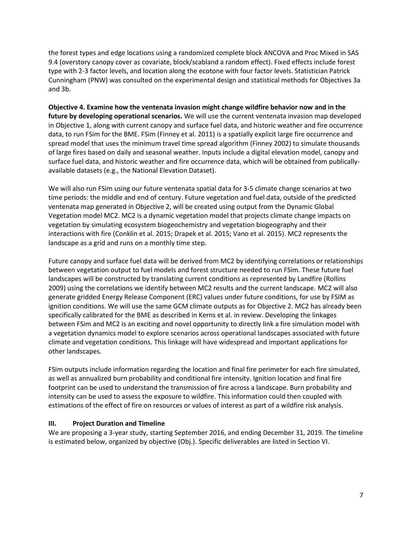the forest types and edge locations using a randomized complete block ANCOVA and Proc Mixed in SAS 9.4 (overstory canopy cover as covariate, block/scabland a random effect). Fixed effects include forest type with 2-3 factor levels, and location along the ecotone with four factor levels. Statistician Patrick Cunningham (PNW) was consulted on the experimental design and statistical methods for Objectives 3a and 3b.

**Objective 4. Examine how the ventenata invasion might change wildfire behavior now and in the future by developing operational scenarios.** We will use the current ventenata invasion map developed in Objective 1, along with current canopy and surface fuel data, and historic weather and fire occurrence data, to run FSim for the BME. FSim (Finney et al. 2011) is a spatially explicit large fire occurrence and spread model that uses the minimum travel time spread algorithm (Finney 2002) to simulate thousands of large fires based on daily and seasonal weather. Inputs include a digital elevation model, canopy and surface fuel data, and historic weather and fire occurrence data, which will be obtained from publicallyavailable datasets (e.g., the National Elevation Dataset).

We will also run FSim using our future ventenata spatial data for 3-5 climate change scenarios at two time periods: the middle and end of century. Future vegetation and fuel data, outside of the predicted ventenata map generated in Objective 2, will be created using output from the Dynamic Global Vegetation model MC2. MC2 is a dynamic vegetation model that projects climate change impacts on vegetation by simulating ecosystem biogeochemistry and vegetation biogeography and their interactions with fire (Conklin et al. 2015; Drapek et al. 2015; Vano et al. 2015). MC2 represents the landscape as a grid and runs on a monthly time step.

Future canopy and surface fuel data will be derived from MC2 by identifying correlations or relationships between vegetation output to fuel models and forest structure needed to run FSim. These future fuel landscapes will be constructed by translating current conditions as represented by Landfire (Rollins 2009) using the correlations we identify between MC2 results and the current landscape. MC2 will also generate gridded Energy Release Component (ERC) values under future conditions, for use by FSIM as ignition conditions. We will use the same GCM climate outputs as for Objective 2. MC2 has already been specifically calibrated for the BME as described in Kerns et al. in review. Developing the linkages between FSim and MC2 is an exciting and novel opportunity to directly link a fire simulation model with a vegetation dynamics model to explore scenarios across operational landscapes associated with future climate and vegetation conditions. This linkage will have widespread and important applications for other landscapes.

FSim outputs include information regarding the location and final fire perimeter for each fire simulated, as well as annualized burn probability and conditional fire intensity. Ignition location and final fire footprint can be used to understand the transmission of fire across a landscape. Burn probability and intensity can be used to assess the exposure to wildfire. This information could then coupled with estimations of the effect of fire on resources or values of interest as part of a wildfire risk analysis.

#### **III. Project Duration and Timeline**

We are proposing a 3-year study, starting September 2016, and ending December 31, 2019. The timeline is estimated below, organized by objective (Obj.). Specific deliverables are listed in Section VI.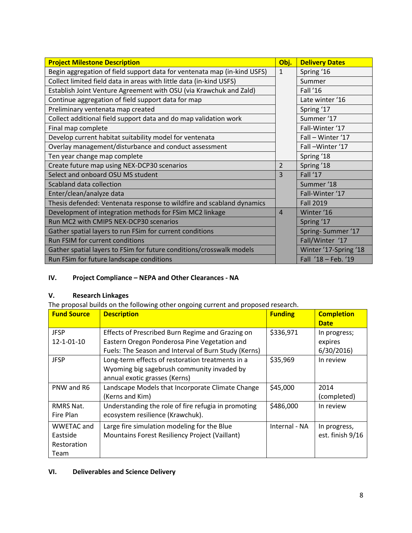| <b>Project Milestone Description</b>                                     | Obj.           | <b>Delivery Dates</b> |
|--------------------------------------------------------------------------|----------------|-----------------------|
| Begin aggregation of field support data for ventenata map (in-kind USFS) | $\mathbf{1}$   | Spring '16            |
| Collect limited field data in areas with little data (in-kind USFS)      |                | Summer                |
| Establish Joint Venture Agreement with OSU (via Krawchuk and Zald)       |                | Fall '16              |
| Continue aggregation of field support data for map                       |                | Late winter '16       |
| Preliminary ventenata map created                                        |                | Spring '17            |
| Collect additional field support data and do map validation work         |                | Summer '17            |
| Final map complete                                                       |                | Fall-Winter '17       |
| Develop current habitat suitability model for ventenata                  |                | Fall - Winter '17     |
| Overlay management/disturbance and conduct assessment                    |                | Fall-Winter '17       |
| Ten year change map complete                                             |                | Spring '18            |
| Create future map using NEX-DCP30 scenarios                              | $\overline{2}$ | Spring '18            |
| Select and onboard OSU MS student                                        | 3              | Fall '17              |
| Scabland data collection                                                 |                | Summer '18            |
| Enter/clean/analyze data                                                 |                | Fall-Winter '17       |
| Thesis defended: Ventenata response to wildfire and scabland dynamics    |                | <b>Fall 2019</b>      |
| Development of integration methods for FSim MC2 linkage                  | $\overline{4}$ | Winter '16            |
| Run MC2 with CMIP5 NEX-DCP30 scenarios                                   |                | Spring '17            |
| Gather spatial layers to run FSim for current conditions                 |                | Spring-Summer '17     |
| Run FSIM for current conditions                                          |                | Fall/Winter '17       |
| Gather spatial layers to FSim for future conditions/crosswalk models     |                | Winter '17-Spring '18 |
| Run FSim for future landscape conditions                                 |                | Fall '18 - Feb. '19   |

# **IV. Project Compliance – NEPA and Other Clearances - NA**

# **V. Research Linkages**

The proposal builds on the following other ongoing current and proposed research.

| <b>Fund Source</b>                                   | <b>Description</b>                                                                                                                                       | <b>Funding</b> | <b>Completion</b><br><b>Date</b>     |
|------------------------------------------------------|----------------------------------------------------------------------------------------------------------------------------------------------------------|----------------|--------------------------------------|
| <b>JFSP</b><br>12-1-01-10                            | Effects of Prescribed Burn Regime and Grazing on<br>Eastern Oregon Ponderosa Pine Vegetation and<br>Fuels: The Season and Interval of Burn Study (Kerns) | \$336,971      | In progress;<br>expires<br>6/30/2016 |
| <b>JFSP</b>                                          | Long-term effects of restoration treatments in a<br>Wyoming big sagebrush community invaded by<br>annual exotic grasses (Kerns)                          | \$35,969       | In review                            |
| PNW and R6                                           | Landscape Models that Incorporate Climate Change<br>(Kerns and Kim)                                                                                      | \$45,000       | 2014<br>(completed)                  |
| RMRS Nat.<br>Fire Plan                               | Understanding the role of fire refugia in promoting<br>ecosystem resilience (Krawchuk).                                                                  | \$486,000      | In review                            |
| <b>WWETAC and</b><br>Eastside<br>Restoration<br>Team | Large fire simulation modeling for the Blue<br>Mountains Forest Resiliency Project (Vaillant)                                                            | Internal - NA  | In progress,<br>est. finish 9/16     |

# **VI. Deliverables and Science Delivery**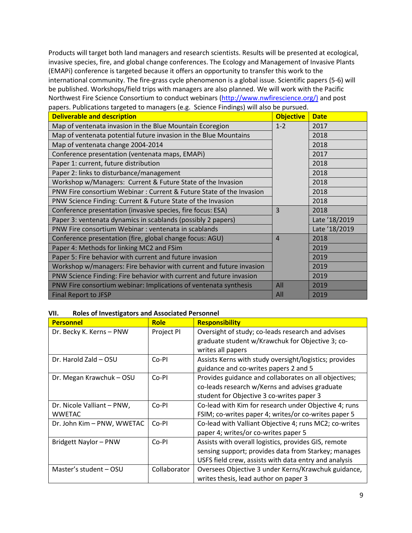Products will target both land managers and research scientists. Results will be presented at ecological, invasive species, fire, and global change conferences. The Ecology and Management of Invasive Plants (EMAPi) conference is targeted because it offers an opportunity to transfer this work to the international community. The fire-grass cycle phenomenon is a global issue. Scientific papers (5-6) will be published. Workshops/field trips with managers are also planned. We will work with the Pacific Northwest Fire Science Consortium to conduct webinars [\(http://www.nwfirescience.org/\)](http://www.nwfirescience.org/) and post papers. Publications targeted to managers (e.g. Science Findings) will also be pursued.

| <b>Deliverable and description</b>                                  | <b>Objective</b> | <b>Date</b>   |
|---------------------------------------------------------------------|------------------|---------------|
| Map of ventenata invasion in the Blue Mountain Ecoregion            | $1 - 2$          | 2017          |
| Map of ventenata potential future invasion in the Blue Mountains    |                  | 2018          |
| Map of ventenata change 2004-2014                                   |                  | 2018          |
| Conference presentation (ventenata maps, EMAPi)                     |                  | 2017          |
| Paper 1: current, future distribution                               |                  | 2018          |
| Paper 2: links to disturbance/management                            |                  | 2018          |
| Workshop w/Managers: Current & Future State of the Invasion         |                  | 2018          |
| PNW Fire consortium Webinar: Current & Future State of the Invasion |                  | 2018          |
| PNW Science Finding: Current & Future State of the Invasion         |                  | 2018          |
| Conference presentation (invasive species, fire focus: ESA)         | 3                | 2018          |
| Paper 3: ventenata dynamics in scablands (possibly 2 papers)        |                  | Late '18/2019 |
| PNW Fire consortium Webinar: ventenata in scablands                 |                  | Late '18/2019 |
| Conference presentation (fire, global change focus: AGU)            | $\overline{A}$   | 2018          |
| Paper 4: Methods for linking MC2 and FSim                           |                  | 2019          |
| Paper 5: Fire behavior with current and future invasion             |                  | 2019          |
| Workshop w/managers: Fire behavior with current and future invasion |                  | 2019          |
| PNW Science Finding: Fire behavior with current and future invasion |                  | 2019          |
| PNW Fire consortium webinar: Implications of ventenata synthesis    | All              | 2019          |
| <b>Final Report to JFSP</b>                                         | All              | 2019          |

#### **VII. Roles of Investigators and Associated Personnel**

| <b>Personnel</b>           | <b>Role</b>  | <b>Responsibility</b>                                  |
|----------------------------|--------------|--------------------------------------------------------|
| Dr. Becky K. Kerns - PNW   | Project PI   | Oversight of study; co-leads research and advises      |
|                            |              | graduate student w/Krawchuk for Objective 3; co-       |
|                            |              | writes all papers                                      |
| Dr. Harold Zald - OSU      | Co-PI        | Assists Kerns with study oversight/logistics; provides |
|                            |              | guidance and co-writes papers 2 and 5                  |
| Dr. Megan Krawchuk - OSU   | Co-PI        | Provides guidance and collaborates on all objectives;  |
|                            |              | co-leads research w/Kerns and advises graduate         |
|                            |              | student for Objective 3 co-writes paper 3              |
| Dr. Nicole Valliant – PNW, | Co-PI        | Co-lead with Kim for research under Objective 4; runs  |
| <b>WWETAC</b>              |              | FSIM; co-writes paper 4; writes/or co-writes paper 5   |
| Dr. John Kim - PNW, WWETAC | Co-PI        | Co-lead with Valliant Objective 4; runs MC2; co-writes |
|                            |              | paper 4; writes/or co-writes paper 5                   |
| Bridgett Naylor - PNW      | Co-PI        | Assists with overall logistics, provides GIS, remote   |
|                            |              | sensing support; provides data from Starkey; manages   |
|                            |              | USFS field crew, assists with data entry and analysis  |
| Master's student - OSU     | Collaborator | Oversees Objective 3 under Kerns/Krawchuk guidance,    |
|                            |              | writes thesis, lead author on paper 3                  |